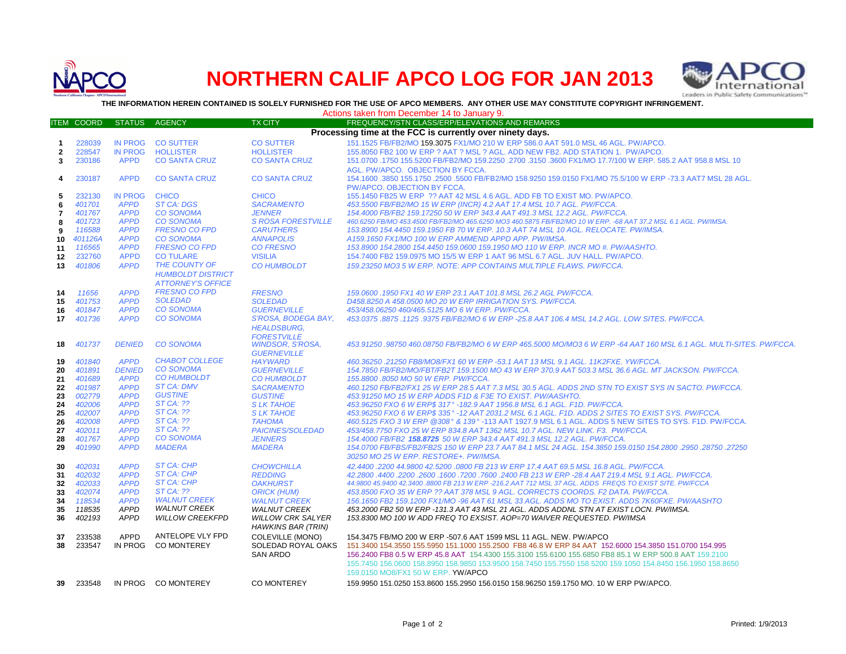

# **NORTHERN CALIF APCO LOG FOR JAN 2013**



**TO Interact of Controller CONTAINED IS SOLELY FURNISHED FOR THE USE OF APCO MEMBERS. ANY OTHER USE MAY CONSTITUTE COPYRIGHT INFRINGEMENT.**<br>THE INFORMATION HEREIN CONTAINED IS SOLELY FURNISHED FOR THE USE OF APCO MEMBERS.

|              | INE INFURNIATION NEREIN GUNTAINED IS SULELT FURNISHED FUR THE USE OF AFGU MEMBERS. ANT UTHER USE MAT GUNSTITUTE GUFTRIUM INFRINGEMENT.<br>Actions taken from December 14 to January 9. |                               |                                          |                                          |                                                                                                                                                                                              |  |
|--------------|----------------------------------------------------------------------------------------------------------------------------------------------------------------------------------------|-------------------------------|------------------------------------------|------------------------------------------|----------------------------------------------------------------------------------------------------------------------------------------------------------------------------------------------|--|
|              | <b>ITEM COORD</b>                                                                                                                                                                      | <b>STATUS</b>                 | <b>AGENCY</b>                            | <b>TX CITY</b>                           | FREQUENCY/STN CLASS/ERP/ELEVATIONS AND REMARKS                                                                                                                                               |  |
|              |                                                                                                                                                                                        |                               |                                          |                                          | Processing time at the FCC is currently over ninety days.                                                                                                                                    |  |
|              | 228039                                                                                                                                                                                 | IN PROG                       | <b>CO SUTTER</b>                         | <b>CO SUTTER</b>                         | 151.1525 FB/FB2/MO 159.3075 FX1/MO 210 W ERP 586.0 AAT 591.0 MSL 46 AGL. PW/APCO.                                                                                                            |  |
| -1           |                                                                                                                                                                                        |                               |                                          |                                          |                                                                                                                                                                                              |  |
| $\mathbf{2}$ | 228547<br>230186                                                                                                                                                                       | <b>IN PROG</b><br><b>APPD</b> | <b>HOLLISTER</b><br><b>CO SANTA CRUZ</b> | <b>HOLLISTER</b><br><b>CO SANTA CRUZ</b> | 155.8050 FB2 100 W ERP ? AAT ? MSL ? AGL. ADD NEW FB2. ADD STATION 1. PW/APCO.<br>151.0700 .1750 155.5200 FB/FB2/MO 159.2250 .2700 .3150 .3600 FX1/MO 17.7/100 W ERP, 585.2 AAT 958.8 MSL 10 |  |
| 3            |                                                                                                                                                                                        |                               |                                          |                                          |                                                                                                                                                                                              |  |
|              |                                                                                                                                                                                        |                               |                                          |                                          | AGL. PW/APCO. OBJECTION BY FCCA.                                                                                                                                                             |  |
| 4            | 230187                                                                                                                                                                                 | <b>APPD</b>                   | <b>CO SANTA CRUZ</b>                     | <b>CO SANTA CRUZ</b>                     | 154.1600 .3850 155.1750 .2500 .5500 FB/FB2/MO 158.9250 159.0150 FX1/MO 75.5/100 W ERP -73.3 AAT7 MSL 28 AGL.                                                                                 |  |
|              |                                                                                                                                                                                        |                               |                                          |                                          | PW/APCO. OBJECTION BY FCCA.                                                                                                                                                                  |  |
| 5            | 232130                                                                                                                                                                                 | <b>IN PROG</b>                | <b>CHICO</b>                             | <b>CHICO</b>                             | 155.1450 FB25 W ERP ?? AAT 42 MSL 4.6 AGL. ADD FB TO EXIST MO. PW/APCO.                                                                                                                      |  |
| 6            | 401701                                                                                                                                                                                 | <b>APPD</b>                   | <b>ST CA: DGS</b>                        | <b>SACRAMENTO</b>                        | 453.5500 FB/FB2/MO 15 W ERP (INCR) 4.2 AAT 17.4 MSL 10.7 AGL. PW/FCCA.                                                                                                                       |  |
| 7            | 401767                                                                                                                                                                                 | <b>APPD</b>                   | <b>CO SONOMA</b>                         | <b>JENNER</b>                            | 154.4000 FB/FB2 159.17250 50 W ERP 343.4 AAT 491.3 MSL 12.2 AGL. PW/FCCA.                                                                                                                    |  |
| 8            | 401723                                                                                                                                                                                 | <b>APPD</b>                   | <b>CO SONOMA</b>                         | <b>S ROSA FORESTVILLE</b>                | 460.6250 FB/MO 453.4500 FB/FB2/MO 465.6250 MO3 460.5875 FB/FB2/MO 10 W ERP. -68 AAT 37.2 MSL 6.1 AGL. PW/IMSA.                                                                               |  |
| 9            | 116588                                                                                                                                                                                 | <b>APPD</b>                   | <b>FRESNO CO FPD</b>                     | <b>CARUTHERS</b>                         | 153.8900 154.4450 159.1950 FB 70 W ERP. 10.3 AAT 74 MSL 10 AGL. RELOCATE. PW/IMSA.                                                                                                           |  |
| 10           | 401126A                                                                                                                                                                                | <b>APPD</b>                   | <b>CO SONOMA</b>                         | <b>ANNAPOLIS</b>                         | A159.1650 FX1/MO 100 W ERP AMMEND APPD APP. PW/IMSA.                                                                                                                                         |  |
| 11           | 116565                                                                                                                                                                                 | <b>APPD</b>                   | <b>FRESNO CO FPD</b>                     | <b>CO FRESNO</b>                         | 153.8900 154.2800 154.4450 159.0600 159.1950 MO 110 W ERP. INCR MO #. PW/AASHTO.                                                                                                             |  |
| 12           | 232760                                                                                                                                                                                 | <b>APPD</b>                   | <b>CO TULARE</b>                         | <b>VISILIA</b>                           | 154.7400 FB2 159.0975 MO 15/5 W ERP 1 AAT 96 MSL 6.7 AGL. JUV HALL. PW/APCO.                                                                                                                 |  |
| 13           | 401806                                                                                                                                                                                 | <b>APPD</b>                   | THE COUNTY OF                            | <b>CO HUMBOLDT</b>                       | 159.23250 MO3 5 W ERP. NOTE: APP CONTAINS MULTIPLE FLAWS. PW/FCCA.                                                                                                                           |  |
|              |                                                                                                                                                                                        |                               | <b>HUMBOLDT DISTRICT</b>                 |                                          |                                                                                                                                                                                              |  |
|              |                                                                                                                                                                                        |                               | <b>ATTORNEY'S OFFICE</b>                 |                                          |                                                                                                                                                                                              |  |
| 14           | 11656                                                                                                                                                                                  | <b>APPD</b>                   | <b>FRESNO CO FPD</b>                     | <b>FRESNO</b>                            | 159.0600 .1950 FX1 40 W ERP 23.1 AAT 101.8 MSL 26.2 AGL PW/FCCA.                                                                                                                             |  |
| 15           | 401753                                                                                                                                                                                 | <b>APPD</b>                   | <b>SOLEDAD</b>                           | <b>SOLEDAD</b>                           | D458.8250 A 458.0500 MO 20 W ERP IRRIGATION SYS. PW/FCCA.                                                                                                                                    |  |
| 16           | 401847                                                                                                                                                                                 | <b>APPD</b>                   | <b>CO SONOMA</b>                         | <b>GUERNEVILLE</b>                       | 453/458.06250 460/465.5125 MO 6 W ERP. PW/FCCA.                                                                                                                                              |  |
| 17           | 401736                                                                                                                                                                                 | <b>APPD</b>                   | <b>CO SONOMA</b>                         | S'ROSA, BODEGA BAY,                      | 453.0375.8875.1125.9375 FB/FB2/MO 6 W ERP -25.8 AAT 106.4 MSL 14.2 AGL. LOW SITES. PW/FCCA.                                                                                                  |  |
|              |                                                                                                                                                                                        |                               |                                          | <b>HEALDSBURG,</b>                       |                                                                                                                                                                                              |  |
|              |                                                                                                                                                                                        |                               |                                          | <b>FORESTVILLE</b>                       |                                                                                                                                                                                              |  |
| 18           | 401737                                                                                                                                                                                 | <b>DENIED</b>                 | <b>CO SONOMA</b>                         | WINDSOR, S'ROSA,                         | 453.91250 .98750 460.08750 FB/FB2/MO 6 W ERP 465.5000 MO/MO3 6 W ERP -64 AAT 160 MSL 6.1 AGL. MULTI-SITES. PW/FCCA                                                                           |  |
|              |                                                                                                                                                                                        |                               |                                          | <b>GUERNEVILLE</b>                       |                                                                                                                                                                                              |  |
| 19           | 401840                                                                                                                                                                                 | <b>APPD</b>                   | <b>CHABOT COLLEGE</b>                    | <b>HAYWARD</b>                           | 460.36250.21250 FB8/MO8/FX1 60 W ERP -53.1 AAT 13 MSL 9.1 AGL. 11K2FXE. YW/FCCA.                                                                                                             |  |
| 20           | 401891                                                                                                                                                                                 | <b>DENIED</b>                 | <b>CO SONOMA</b>                         | <b>GUERNEVILLE</b>                       | 154.7850 FB/FB2/MO/FBT/FB2T 159.1500 MO 43 W ERP 370.9 AAT 503.3 MSL 36.6 AGL, MT JACKSON, PW/FCCA,                                                                                          |  |
| 21           | 401689                                                                                                                                                                                 | <b>APPD</b>                   | <b>CO HUMBOLDT</b>                       | <b>CO HUMBOLDT</b>                       | 155.8800.8050 MO 50 W ERP. PW/FCCA.                                                                                                                                                          |  |
| 22           | 401987                                                                                                                                                                                 | <b>APPD</b>                   | ST CA: DMV                               | <b>SACRAMENTO</b>                        | 460.1250 FB/FB2/FX1 25 W ERP 28.5 AAT 7.3 MSL 30.5 AGL. ADDS 2ND STN TO EXIST SYS IN SACTO. PW/FCCA.                                                                                         |  |
| 23           | 002779                                                                                                                                                                                 | <b>APPD</b>                   | <b>GUSTINE</b>                           | <b>GUSTINE</b>                           | 453.91250 MO 15 W ERP ADDS F1D & F3E TO EXIST. PW/AASHTO.                                                                                                                                    |  |
| 24           | 402006                                                                                                                                                                                 | <b>APPD</b>                   | <b>ST CA: ??</b>                         | <b>SLK TAHOE</b>                         | 453.96250 FXO 6 W ERP\$ 317° -182.9 AAT 1956.8 MSL 6.1 AGL. F1D. PW/FCCA.                                                                                                                    |  |
| 25           | 402007                                                                                                                                                                                 | <b>APPD</b>                   | <b>ST CA: ??</b>                         | <b>SLK TAHOE</b>                         | 453.96250 FXO 6 W ERP\$ 335° -12 AAT 2031.2 MSL 6.1 AGL. F1D. ADDS 2 SITES TO EXIST SYS. PW/FCCA.                                                                                            |  |
| 26           | 402008                                                                                                                                                                                 | <b>APPD</b>                   | $STCA:$ ??                               | <b>TAHOMA</b>                            | 460.5125 FXO 3 W ERP @308° & 139° -113 AAT 1927.9 MSL 6.1 AGL. ADDS 5 NEW SITES TO SYS. F1D. PW/FCCA.                                                                                        |  |
| 27           | 402011                                                                                                                                                                                 | <b>APPD</b>                   | $STCA:$ ??                               | <b>PAICINES/SOLEDAD</b>                  | 453/458.7750 FXO 25 W ERP 834.8 AAT 1362 MSL 10.7 AGL. NEW LINK. F3. PW/FCCA.                                                                                                                |  |
| 28           | 401767                                                                                                                                                                                 | <b>APPD</b>                   | <b>CO SONOMA</b>                         | <b>JENNERS</b>                           | 154.4000 FB/FB2 158.8725 50 W ERP 343.4 AAT 491.3 MSL 12.2 AGL. PW/FCCA.                                                                                                                     |  |
| 29           | 401990                                                                                                                                                                                 | <b>APPD</b>                   | <b>MADERA</b>                            | <b>MADERA</b>                            | 154.0700. 28750. 2950. 154.2800 154.2800 154.2800 154/FBS/FB2/FB2S 150 W ERP 23.7 AAT 84.1 MSL 24 AGL. 154.3850                                                                              |  |
|              |                                                                                                                                                                                        |                               |                                          |                                          | 30250 MO 25 W ERP. RESTORE+. PW/IMSA.                                                                                                                                                        |  |
| 30           | 402031                                                                                                                                                                                 | <b>APPD</b>                   | <b>ST CA: CHP</b>                        | <b>CHOWCHILLA</b>                        | 42.4400.2200 44.9800 42.5200.0800 FB 213 W ERP 17.4 AAT 69.5 MSL 16.8 AGL. PW/FCCA.                                                                                                          |  |
| 31           | 402032                                                                                                                                                                                 | <b>APPD</b>                   | <b>ST CA: CHP</b>                        | <b>REDDING</b>                           | 42.2800 .4400 .2200 .2600 .1600 .7200 .7600 .2400 FB 213 W ERP -28.4 AAT 219.4 MSL 9.1 AGL. PW/FCCA.                                                                                         |  |
| 32           | 402033                                                                                                                                                                                 | <b>APPD</b>                   | <b>ST CA: CHP</b>                        | <b>OAKHURST</b>                          | 44.9800 45.9400 42.3400 .8800 FB 213 W ERP -216.2 AAT 712 MSL 37 AGL. ADDS FREQS TO EXIST SITE. PW/FCCA                                                                                      |  |
| 33           | 402074                                                                                                                                                                                 | <b>APPD</b>                   | <b>ST CA: ??</b>                         | <b>ORICK (HUM)</b>                       | 453.8500 FXO 35 W ERP ?? AAT 378 MSL 9 AGL. CORRECTS COORDS. F2 DATA. PW/FCCA.                                                                                                               |  |
| 34           | 118534                                                                                                                                                                                 | <b>APPD</b>                   | <b>WALNUT CREEK</b>                      | <b>WALNUT CREEK</b>                      | 156.1650 FB2 159.1200 FX1/MO -96 AAT 61 MSL 33 AGL. ADDS MO TO EXIST. ADDS 7K60FXE. PW/AASHTO                                                                                                |  |
| 35           | 118535                                                                                                                                                                                 | <b>APPD</b>                   | <b>WALNUT CREEK</b>                      | <b>WALNUT CREEK</b>                      | 453.2000 FB2 50 W ERP -131.3 AAT 43 MSL 21 AGL. ADDS ADDNL STN AT EXIST LOCN. PW/IMSA.                                                                                                       |  |
| 36           | 402193                                                                                                                                                                                 | <b>APPD</b>                   | <b>WILLOW CREEKFPD</b>                   | <b>WILLOW CRK SALYER</b>                 | 153.8300 MO 100 W ADD FREQ TO EXSIST. AOP=70 WAIVER REQUESTED. PW/IMSA                                                                                                                       |  |
|              |                                                                                                                                                                                        |                               |                                          | HAWKINS BAR (TRIN)                       |                                                                                                                                                                                              |  |
| 37           | 233538                                                                                                                                                                                 | <b>APPD</b>                   | ANTELOPE VLY FPD                         | COLEVILLE (MONO)                         | 154.3475 FB/MO 200 W ERP -507.6 AAT 1599 MSL 11 AGL. NEW. PW/APCO                                                                                                                            |  |
| 38           | 233547                                                                                                                                                                                 | IN PROG                       | <b>CO MONTEREY</b>                       | SOLEDAD ROYAL OAKS                       | 151.3400 154.3550 155.5950 151.1000 155.2500 FB8 46.8 W ERP 84 AAT 152.6000 154.3850 151.0700 154.995                                                                                        |  |
|              |                                                                                                                                                                                        |                               |                                          | <b>SAN ARDO</b>                          | 156.2400 FB8 0.5 W ERP 45.8 AAT 154.4300 155.3100 155.6100 155.6850 FB8 85.1 W ERP 500.8 AAT 159.2100                                                                                        |  |
|              |                                                                                                                                                                                        |                               |                                          |                                          | 155.7450 156.0600 158.8950 158.9850 153.9500 158.7450 155.7550 158.5200 159.1050 154.8450 156.1950 158.8650                                                                                  |  |
|              |                                                                                                                                                                                        |                               |                                          |                                          | 159.0150 MO8/FX1 50 W ERP. YW/APCO                                                                                                                                                           |  |
| 39           | 233548                                                                                                                                                                                 |                               | IN PROG CO MONTEREY                      | <b>CO MONTEREY</b>                       | 159,9950 151,0250 153,8600 155,2950 156,0150 158,96250 159,1750 MO, 10 W ERP PW/APCO,                                                                                                        |  |
|              |                                                                                                                                                                                        |                               |                                          |                                          |                                                                                                                                                                                              |  |